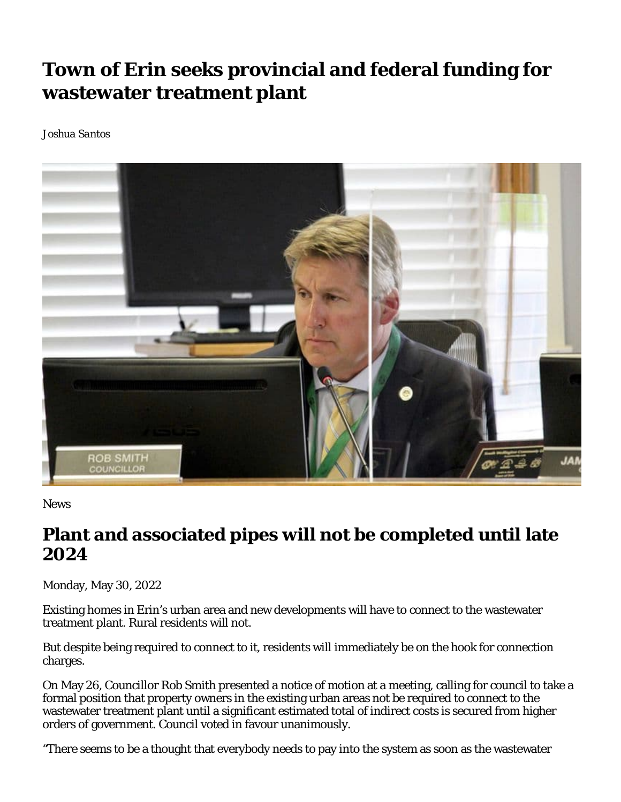## **Town of Erin seeks provincial and federal funding for wastewater treatment plant**

*Joshua Santos*



**News** 

## **Plant and associated pipes will not be completed until late 2024**

Monday, May 30, 2022

Existing homes in Erin's urban area and new developments will have to connect to the wastewater treatment plant. Rural residents will not.

But despite being required to connect to it, residents will immediately be on the hook for connection charges.

On May 26, Councillor Rob Smith presented a notice of motion at a meeting, calling for council to take a formal position that property owners in the existing urban areas not be required to connect to the wastewater treatment plant until a significant estimated total of indirect costs is secured from higher orders of government. Council voted in favour unanimously.

"There seems to be a thought that everybody needs to pay into the system as soon as the wastewater